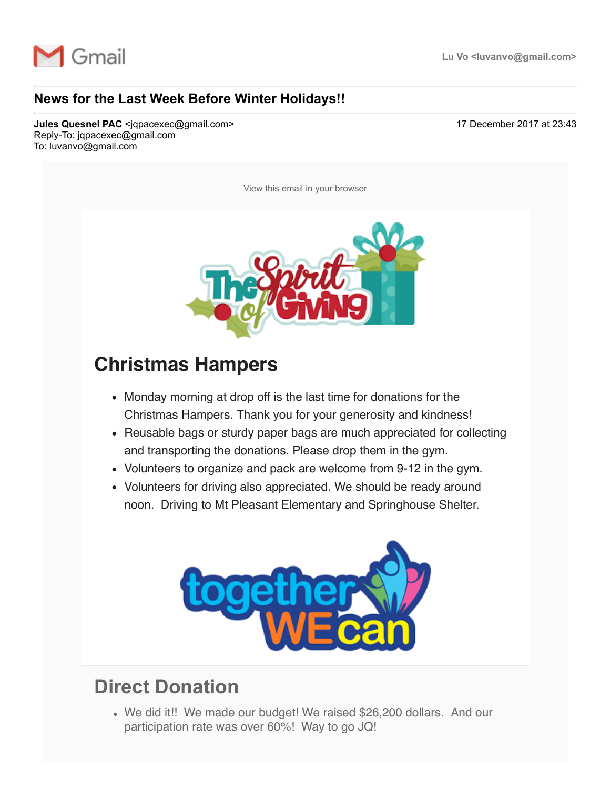

#### **News for the Last Week Before Winter Holidays!!**

**Jules Quesnel PAC** <jqpacexec@gmail.com> 17 December 2017 at 23:43 Reply-To: jqpacexec@gmail.com To: luvanvo@gmail.com

[View this email in your browser](http://mailchi.mp/474d788654f6/news-for-the-last-week-before-winter-holidays?e=a76be064ee)



#### **Christmas Hampers**

- Monday morning at drop off is the last time for donations for the Christmas Hampers. Thank you for your generosity and kindness!
- Reusable bags or sturdy paper bags are much appreciated for collecting and transporting the donations. Please drop them in the gym.
- Volunteers to organize and pack are welcome from 9-12 in the gym.
- Volunteers for driving also appreciated. We should be ready around noon. Driving to Mt Pleasant Elementary and Springhouse Shelter.



### **Direct Donation**

We did it!! We made our budget! We raised \$26,200 dollars. And our participation rate was over 60%! Way to go JQ!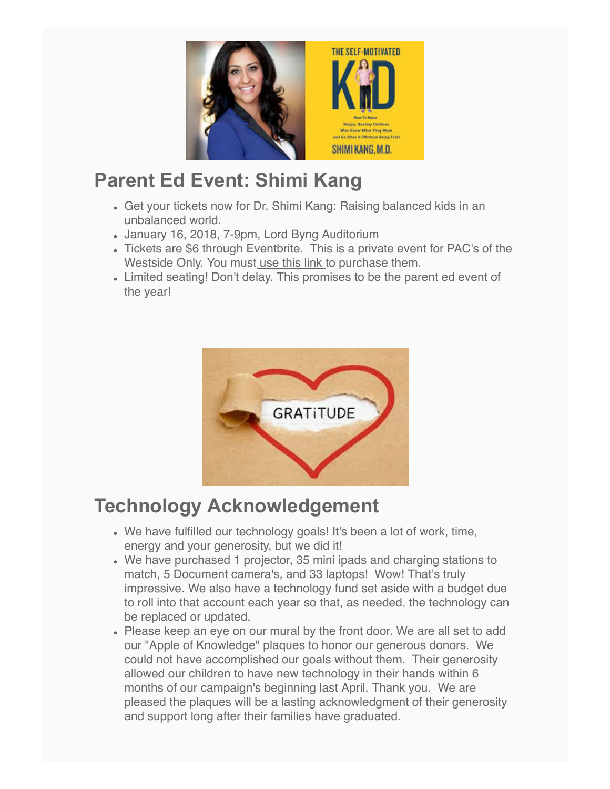

## **Parent Ed Event: Shimi Kang**

- Get your tickets now for Dr. Shimi Kang: Raising balanced kids in an unbalanced world.
- January 16, 2018, 7-9pm, Lord Byng Auditorium
- Tickets are \$6 through Eventbrite. This is a private event for PAC's of the Westside Only. You must [use this link](https://julesquesnelpac.us3.list-manage.com/track/click?u=a8e7c9494cc165c2c2cca7d75&id=5978bc28a7&e=a76be064ee) to purchase them.
- Limited seating! Don't delay. This promises to be the parent ed event of the year!



# **Technology Acknowledgement**

- We have fulfilled our technology goals! It's been a lot of work, time, energy and your generosity, but we did it!
- We have purchased 1 projector, 35 mini ipads and charging stations to match, 5 Document camera's, and 33 laptops! Wow! That's truly impressive. We also have a technology fund set aside with a budget due to roll into that account each year so that, as needed, the technology can be replaced or updated.
- Please keep an eye on our mural by the front door. We are all set to add our "Apple of Knowledge" plaques to honor our generous donors. We could not have accomplished our goals without them. Their generosity allowed our children to have new technology in their hands within 6 months of our campaign's beginning last April. Thank you. We are pleased the plaques will be a lasting acknowledgment of their generosity and support long after their families have graduated.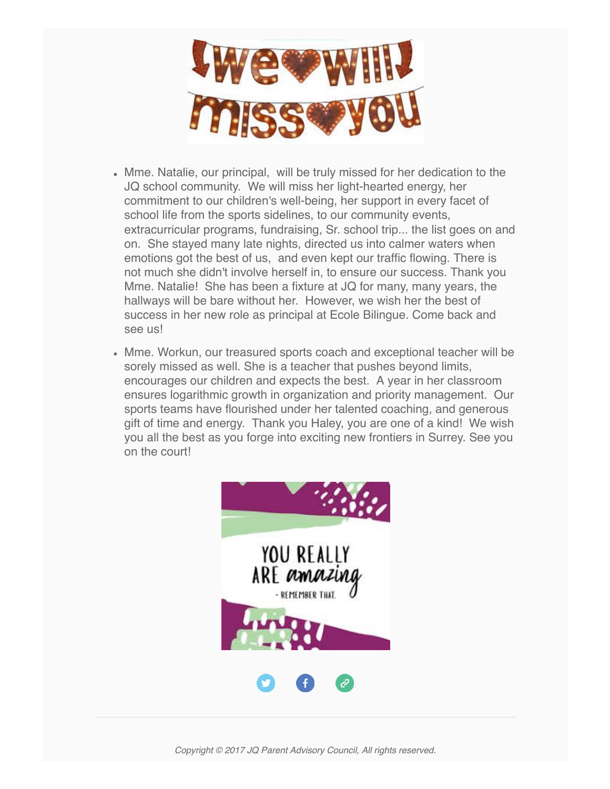

- Mme. Natalie, our principal, will be truly missed for her dedication to the JQ school community. We will miss her light-hearted energy, her commitment to our children's well-being, her support in every facet of school life from the sports sidelines, to our community events, extracurricular programs, fundraising, Sr. school trip... the list goes on and on. She stayed many late nights, directed us into calmer waters when emotions got the best of us, and even kept our traffic flowing. There is not much she didn't involve herself in, to ensure our success. Thank you Mme. Natalie! She has been a fixture at JQ for many, many years, the hallways will be bare without her. However, we wish her the best of success in her new role as principal at Ecole Bilingue. Come back and see us!
- Mme. Workun, our treasured sports coach and exceptional teacher will be sorely missed as well. She is a teacher that pushes beyond limits, encourages our children and expects the best. A year in her classroom ensures logarithmic growth in organization and priority management. Our sports teams have flourished under her talented coaching, and generous gift of time and energy. Thank you Haley, you are one of a kind! We wish you all the best as you forge into exciting new frontiers in Surrey. See you on the court!